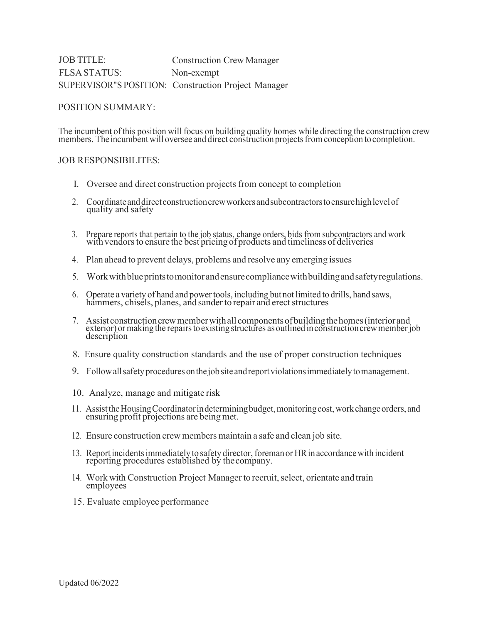JOB TITLE: Construction CrewManager FLSA STATUS: Non-exempt SUPERVISOR"S POSITION: Construction Project Manager

## POSITION SUMMARY:

The incumbent of this position will focus on building quality homes while directing the construction crew members. The incumbent will oversee and direct construction projects from conception to completion.

## JOB RESPONSIBILITES:

- I. Oversee and direct construction projects from concept to completion
- 2. Coordinate and direct construction crew workers and subcontractors to ensure high level of quality and safety
- 3. Prepare reports that pertain to the job status, change orders, bids from subcontractors and work with vendors to ensure the best pricing of products and timeliness of deliveries
- 4. Plan ahead to prevent delays, problems and resolve any emerging issues
- 5. Workwithblueprintstomonitorandensurecompliancewithbuildingandsafetyregulations.
- 6. Operate <sup>a</sup> variety of hand and powertools, including butnot limited to drills, hand saws, hammers, chisels, planes, and sanderto repair and erectstructures
- 7. Assist construction crew member with all components of building the homes (interior and exterior) or making the repairs to existing structures as outlined in construction crew member job<br>description
- 8. Ensure quality construction standards and the use of proper construction techniques
- 9. Followallsafety procedures onthe jobsite andreportviolationsimmediatelytomanagement.
- 10. Analyze, manage and mitigate risk
- 11. Assist the Housing Coordinator in determining budget, monitoring cost, work change orders, and ensuring profit projections are being met.
- 12. Ensure construction crew members maintain a safe and clean job site.
- 13. Report incidents immediately to safety director, foreman or HR in accordance with incident reporting procedures established by thecompany.
- 14. Work with Construction Project Manager to recruit, select, orientate and train employees
- 15. Evaluate employee performance